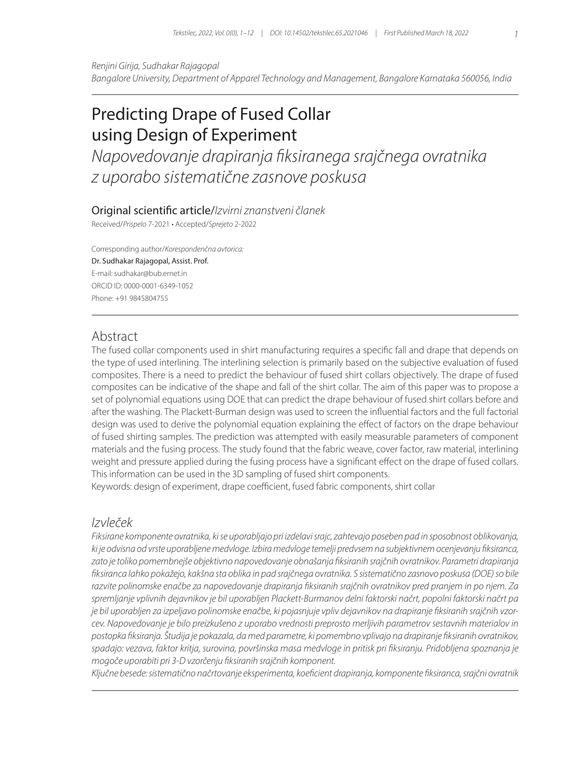*Renjini Girija, Sudhakar Rajagopal Bangalore University, Department of Apparel Technology and Management, Bangalore Karnataka 560056, India*

# Predicting Drape of Fused Collar using Design of Experiment

*Napovedovanje drapiranja fiksiranega srajčnega ovratnika z uporabo sistematične zasnove poskusa*

#### Original scientific article/*Izvirni znanstveni članek*

Received/*Prispelo* 7-2021 • Accepted/*Sprejeto* 2-2022

Corresponding author/*Korespondenčna avtorica:* Dr. Sudhakar Rajagopal, Assist. Prof. E-mail: sudhakar@bub.ernet.in ORCID ID: 0000-0001-6349-1052 Phone: +91 9845804755

## Abstract

The fused collar components used in shirt manufacturing requires a specific fall and drape that depends on the type of used interlining. The interlining selection is primarily based on the subjective evaluation of fused composites. There is a need to predict the behaviour of fused shirt collars objectively. The drape of fused composites can be indicative of the shape and fall of the shirt collar. The aim of this paper was to propose a set of polynomial equations using DOE that can predict the drape behaviour of fused shirt collars before and after the washing. The Plackett-Burman design was used to screen the influential factors and the full factorial design was used to derive the polynomial equation explaining the effect of factors on the drape behaviour of fused shirting samples. The prediction was attempted with easily measurable parameters of component materials and the fusing process. The study found that the fabric weave, cover factor, raw material, interlining weight and pressure applied during the fusing process have a significant effect on the drape of fused collars. This information can be used in the 3D sampling of fused shirt components.

Keywords: design of experiment, drape coefficient, fused fabric components, shirt collar

### *Izvleček*

*Fiksirane komponente ovratnika, ki se uporabljajo pri izdelavi srajc, zahtevajo poseben pad in sposobnost oblikovanja, ki je odvisna od vrste uporabljene medvloge. Izbira medvloge temelji predvsem na subjektivnem ocenjevanju fiksiranca, zato je toliko pomembnejše objektivno napovedovanje obnašanja fiksiranih srajčnih ovratnikov. Parametri drapiranja fiksiranca lahko pokažejo, kakšna sta oblika in pad srajčnega ovratnika. S sistematično zasnovo poskusa (DOE) so bile razvite polinomske enačbe za napovedovanje drapiranja fiksiranih srajčnih ovratnikov pred pranjem in po njem. Za spremljanje vplivnih dejavnikov je bil uporabljen Plackett-Burmanov delni faktorski načrt, popolni faktorski načrt pa je bil uporabljen za izpeljavo polinomske enačbe, ki pojasnjuje vpliv dejavnikov na drapiranje fiksiranih srajčnih vzorcev. Napovedovanje je bilo preizkušeno z uporabo vrednosti preprosto merljivih parametrov sestavnih materialov in postopka fiksiranja. Študija je pokazala, da med parametre, ki pomembno vplivajo na drapiranje fiksiranih ovratnikov, spadajo: vezava, faktor kritja, surovina, površinska masa medvloge in pritisk pri fiksiranju. Pridobljena spoznanja je mogoče uporabiti pri 3-D vzorčenju fiksiranih srajčnih komponent.* 

*Ključne besede: sistematično načrtovanje eksperimenta, koeficient drapiranja, komponente fiksiranca, srajčni ovratnik*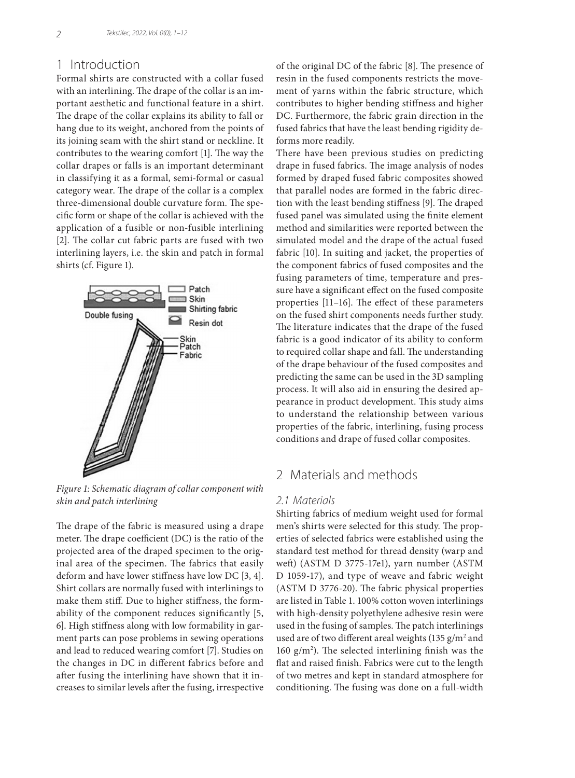## 1 Introduction

Formal shirts are constructed with a collar fused with an interlining. The drape of the collar is an important aesthetic and functional feature in a shirt. The drape of the collar explains its ability to fall or hang due to its weight, anchored from the points of its joining seam with the shirt stand or neckline. It contributes to the wearing comfort [1]. The way the collar drapes or falls is an important determinant in classifying it as a formal, semi-formal or casual category wear. The drape of the collar is a complex three-dimensional double curvature form. The specific form or shape of the collar is achieved with the application of a fusible or non-fusible interlining [2]. The collar cut fabric parts are fused with two interlining layers, i.e. the skin and patch in formal shirts (cf. Figure 1).



*Figure 1: Schematic diagram of collar component with skin and patch interlining*

The drape of the fabric is measured using a drape meter. The drape coefficient (DC) is the ratio of the projected area of the draped specimen to the original area of the specimen. The fabrics that easily deform and have lower stiffness have low DC [3, 4]. Shirt collars are normally fused with interlinings to make them stiff. Due to higher stiffness, the formability of the component reduces significantly [5, 6]. High stiffness along with low formability in garment parts can pose problems in sewing operations and lead to reduced wearing comfort [7]. Studies on the changes in DC in different fabrics before and after fusing the interlining have shown that it increases to similar levels after the fusing, irrespective of the original DC of the fabric [8]. The presence of resin in the fused components restricts the movement of yarns within the fabric structure, which contributes to higher bending stiffness and higher DC. Furthermore, the fabric grain direction in the fused fabrics that have the least bending rigidity deforms more readily.

There have been previous studies on predicting drape in fused fabrics. The image analysis of nodes formed by draped fused fabric composites showed that parallel nodes are formed in the fabric direction with the least bending stiffness [9]. The draped fused panel was simulated using the finite element method and similarities were reported between the simulated model and the drape of the actual fused fabric [10]. In suiting and jacket, the properties of the component fabrics of fused composites and the fusing parameters of time, temperature and pressure have a significant effect on the fused composite properties [11–16]. The effect of these parameters on the fused shirt components needs further study. The literature indicates that the drape of the fused fabric is a good indicator of its ability to conform to required collar shape and fall. The understanding of the drape behaviour of the fused composites and predicting the same can be used in the 3D sampling process. It will also aid in ensuring the desired appearance in product development. This study aims to understand the relationship between various properties of the fabric, interlining, fusing process conditions and drape of fused collar composites.

# 2 Materials and methods

#### *2.1 Materials*

Shirting fabrics of medium weight used for formal men's shirts were selected for this study. The properties of selected fabrics were established using the standard test method for thread density (warp and weft) (ASTM D 3775-17e1), yarn number (ASTM D 1059-17), and type of weave and fabric weight (ASTM D 3776-20). The fabric physical properties are listed in Table 1. 100% cotton woven interlinings with high-density polyethylene adhesive resin were used in the fusing of samples. The patch interlinings used are of two different areal weights (135 g/m<sup>2</sup> and 160  $g/m<sup>2</sup>$ ). The selected interlining finish was the flat and raised finish. Fabrics were cut to the length of two metres and kept in standard atmosphere for conditioning. The fusing was done on a full-width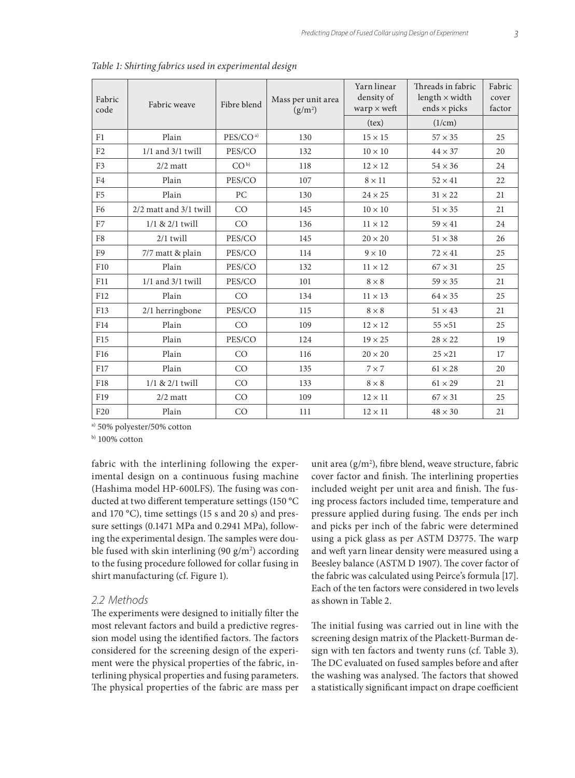| Fabric<br>code  | Fabric weave           | Fibre blend          | Mass per unit area<br>(g/m <sup>2</sup> ) | Yarn linear<br>density of<br>warp $\times$ weft | Threads in fabric<br>length $\times$ width<br>ends $\times$ picks | Fabric<br>cover<br>factor |
|-----------------|------------------------|----------------------|-------------------------------------------|-------------------------------------------------|-------------------------------------------------------------------|---------------------------|
|                 |                        |                      |                                           | (text)                                          | (1/cm)                                                            |                           |
| F1              | Plain                  | PES/CO <sup>a)</sup> | 130                                       | $15 \times 15$                                  | $57 \times 35$                                                    | 25                        |
| F <sub>2</sub>  | $1/1$ and $3/1$ twill  | PES/CO               | 132                                       | $10 \times 10$                                  | $44 \times 37$                                                    | 20                        |
| F <sub>3</sub>  | $2/2$ matt             | CO <sup>b</sup>      | 118                                       | $12 \times 12$                                  | $54 \times 36$                                                    | 24                        |
| F <sub>4</sub>  | Plain                  | PES/CO               | 107                                       | $8 \times 11$                                   | $52 \times 41$                                                    | 22                        |
| F <sub>5</sub>  | Plain                  | PC                   | 130                                       | $24 \times 25$                                  | $31 \times 22$                                                    | 21                        |
| F <sub>6</sub>  | 2/2 matt and 3/1 twill | CO                   | 145                                       | $10 \times 10$                                  | $51 \times 35$                                                    | 21                        |
| F7              | $1/1$ & $2/1$ twill    | CO                   | 136                                       | $11 \times 12$                                  | $59 \times 41$                                                    | 24                        |
| F8              | $2/1$ twill            | PES/CO               | 145                                       | $20 \times 20$                                  | $51 \times 38$                                                    | 26                        |
| F <sub>9</sub>  | 7/7 matt & plain       | PES/CO               | 114                                       | $9 \times 10$                                   | $72 \times 41$                                                    | 25                        |
| F10             | Plain                  | PES/CO               | 132                                       | $11 \times 12$                                  | $67 \times 31$                                                    | 25                        |
| F11             | $1/1$ and $3/1$ twill  | PES/CO               | 101                                       | $8 \times 8$                                    | $59 \times 35$                                                    | 21                        |
| F12             | Plain                  | CO                   | 134                                       | $11 \times 13$                                  | $64 \times 35$                                                    | 25                        |
| F13             | 2/1 herringbone        | PES/CO               | 115                                       | $8 \times 8$                                    | $51 \times 43$                                                    | 21                        |
| F14             | Plain                  | CO                   | 109                                       | $12 \times 12$                                  | $55 \times 51$                                                    | 25                        |
| F15             | Plain                  | PES/CO               | 124                                       | $19 \times 25$                                  | $28 \times 22$                                                    | 19                        |
| F16             | Plain                  | CO                   | 116                                       | $20 \times 20$                                  | $25 \times 21$                                                    | 17                        |
| F17             | Plain                  | CO                   | 135                                       | $7 \times 7$                                    | $61 \times 28$                                                    | 20                        |
| F18             | 1/1 & 2/1 twill        | CO                   | 133                                       | $8 \times 8$                                    | $61 \times 29$                                                    | 21                        |
| F19             | $2/2$ matt             | CO                   | 109                                       | $12 \times 11$                                  | $67 \times 31$                                                    | 25                        |
| F <sub>20</sub> | Plain                  | CO                   | 111                                       | $12 \times 11$                                  | $48 \times 30$                                                    | 21                        |

*Table 1: Shirting fabrics used in experimental design*

a) 50% polyester/50% cotton

 $b)$  100% cotton

fabric with the interlining following the experimental design on a continuous fusing machine (Hashima model HP-600LFS). The fusing was conducted at two different temperature settings (150 °C and 170 °C), time settings (15 s and 20 s) and pressure settings (0.1471 MPa and 0.2941 MPa), following the experimental design. The samples were double fused with skin interlining (90  $\rm g/m^2$ ) according to the fusing procedure followed for collar fusing in shirt manufacturing (cf. Figure 1).

#### *2.2 Methods*

The experiments were designed to initially filter the most relevant factors and build a predictive regression model using the identified factors. The factors considered for the screening design of the experiment were the physical properties of the fabric, interlining physical properties and fusing parameters. The physical properties of the fabric are mass per

unit area  $(g/m^2)$ , fibre blend, weave structure, fabric cover factor and finish. The interlining properties included weight per unit area and finish. The fusing process factors included time, temperature and pressure applied during fusing. The ends per inch and picks per inch of the fabric were determined using a pick glass as per ASTM D3775. The warp and weft yarn linear density were measured using a Beesley balance (ASTM D 1907). The cover factor of the fabric was calculated using Peirce's formula [17]. Each of the ten factors were considered in two levels as shown in Table 2.

The initial fusing was carried out in line with the screening design matrix of the Plackett-Burman design with ten factors and twenty runs (cf. Table 3). The DC evaluated on fused samples before and after the washing was analysed. The factors that showed a statistically significant impact on drape coefficient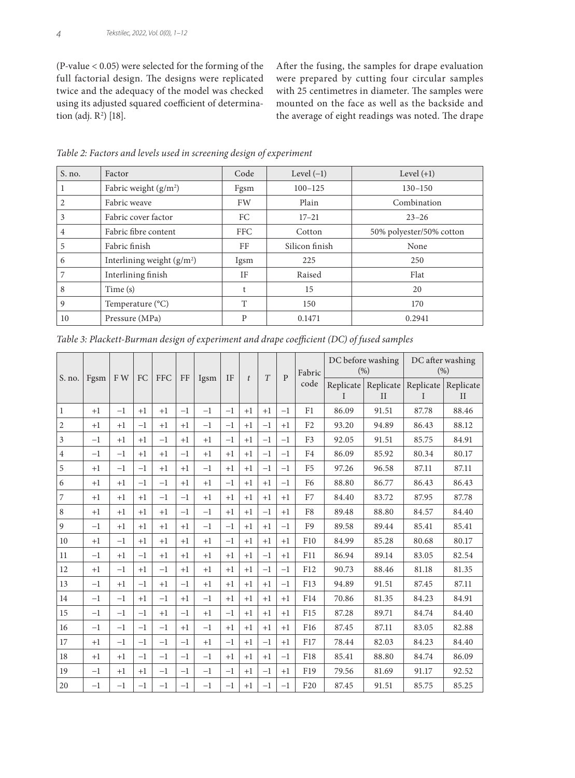(P-value < 0.05) were selected for the forming of the full factorial design. The designs were replicated twice and the adequacy of the model was checked using its adjusted squared coefficient of determination (adj. R<sup>2</sup>) [18].

After the fusing, the samples for drape evaluation were prepared by cutting four circular samples with 25 centimetres in diameter. The samples were mounted on the face as well as the backside and the average of eight readings was noted. The drape

| $S$ . no. | Factor                      | Code       | Level $(-1)$   | Level $(+1)$             |
|-----------|-----------------------------|------------|----------------|--------------------------|
|           | Fabric weight $(g/m2)$      | Fgsm       | $100 - 125$    | $130 - 150$              |
|           | Fabric weave                | FW         | Plain          | Combination              |
| 3         | Fabric cover factor         | FC         | $17 - 21$      | $23 - 26$                |
| 4         | Fabric fibre content        | <b>FFC</b> | Cotton         | 50% polyester/50% cotton |
| 5         | Fabric finish               | FF         | Silicon finish | None                     |
| 6         | Interlining weight $(g/m2)$ | Igsm       | 225            | 250                      |
|           | Interlining finish          | <b>IF</b>  | Raised         | Flat                     |
| 8         | Time (s)                    | t          | 15             | 20                       |
| 9         | Temperature (°C)            | T          | 150            | 170                      |
| 10        | Pressure (MPa)              | P          | 0.1471         | 0.2941                   |

*Table 2: Factors and levels used in screening design of experiment*

|                          |      |      |      |             |          |      |           |                | DC before washing | DC after washing<br>(%) |                 |           |             |                                   |              |
|--------------------------|------|------|------|-------------|----------|------|-----------|----------------|-------------------|-------------------------|-----------------|-----------|-------------|-----------------------------------|--------------|
| S. no.                   | Fgsm | F W  | FC   | ${\rm FFC}$ | $\rm FF$ | Igsm | <b>IF</b> | $\mathfrak{t}$ | T                 | $\mathbf{p}$            | Fabric          | (% )      |             |                                   |              |
|                          |      |      |      |             |          |      |           |                |                   |                         | code            | Replicate |             | Replicate   Replicate   Replicate |              |
|                          |      |      |      |             |          |      |           |                |                   |                         |                 | L         | $_{\rm II}$ | T                                 | $\mathbf{I}$ |
| $\mathbf{1}$             | $+1$ | $-1$ | $+1$ | $+1$        | $-1$     | $-1$ | $-1$      | $+1$           | $+1$              | $-1$                    | F1              | 86.09     | 91.51       | 87.78                             | 88.46        |
| $\sqrt{2}$               | $+1$ | $+1$ | $-1$ | $+1$        | $+1$     | $-1$ | $-1$      | $+1$           | $-1$              | $+1$                    | F <sub>2</sub>  | 93.20     | 94.89       | 86.43                             | 88.12        |
| $\overline{3}$           | $-1$ | $+1$ | $+1$ | $-1$        | $+1$     | $+1$ | $-1$      | $+1$           | $-1$              | $-1$                    | F <sub>3</sub>  | 92.05     | 91.51       | 85.75                             | 84.91        |
| $\overline{4}$           | $-1$ | $-1$ | $+1$ | $+1$        | $-1$     | $+1$ | $+1$      | $+1$           | $-1$              | $-1$                    | F4              | 86.09     | 85.92       | 80.34                             | 80.17        |
| 5                        | $+1$ | $-1$ | $-1$ | $+1$        | $+1$     | $-1$ | $+1$      | $+1$           | $-1$              | $-1$                    | F <sub>5</sub>  | 97.26     | 96.58       | 87.11                             | 87.11        |
| 6                        | $+1$ | $+1$ | $-1$ | $-1$        | $+1$     | $+1$ | $-1$      | $+1$           | $+1$              | $-1$                    | F <sub>6</sub>  | 88.80     | 86.77       | 86.43                             | 86.43        |
| $\overline{\phantom{a}}$ | $+1$ | $+1$ | $+1$ | $-1$        | $-1$     | $+1$ | $+1$      | $+1$           | $+1$              | $+1$                    | F7              | 84.40     | 83.72       | 87.95                             | 87.78        |
| $\,$ 8 $\,$              | $+1$ | $+1$ | $+1$ | $+1$        | $-1$     | $-1$ | $+1$      | $+1$           | $-1$              | $+1$                    | F8              | 89.48     | 88.80       | 84.57                             | 84.40        |
| 9                        | $-1$ | $+1$ | $+1$ | $+1$        | $+1$     | $-1$ | $-1$      | $+1$           | $+1$              | $-1$                    | F <sub>9</sub>  | 89.58     | 89.44       | 85.41                             | 85.41        |
| 10                       | $+1$ | $-1$ | $+1$ | $+1$        | $+1$     | $+1$ | $-1$      | $+1$           | $+1$              | $+1$                    | F <sub>10</sub> | 84.99     | 85.28       | 80.68                             | 80.17        |
| 11                       | $-1$ | $+1$ | $-1$ | $+1$        | $+1$     | $+1$ | $+1$      | $+1$           | $-1$              | $+1$                    | F11             | 86.94     | 89.14       | 83.05                             | 82.54        |
| 12                       | $+1$ | $-1$ | $+1$ | $-1$        | $+1$     | $+1$ | $+1$      | $+1$           | $-1$              | $-1$                    | F12             | 90.73     | 88.46       | 81.18                             | 81.35        |
| 13                       | $-1$ | $+1$ | $-1$ | $+1$        | $-1$     | $+1$ | $+1$      | $+1$           | $+1$              | $-1$                    | F13             | 94.89     | 91.51       | 87.45                             | 87.11        |
| $14\,$                   | $-1$ | $-1$ | $+1$ | $-1$        | $+1$     | $-1$ | $+1$      | $+1$           | $+1$              | $+1$                    | F14             | 70.86     | 81.35       | 84.23                             | 84.91        |
| 15                       | $-1$ | $-1$ | $-1$ | $+1$        | $-1$     | $+1$ | $-1$      | $+1$           | $+1$              | $+1$                    | F <sub>15</sub> | 87.28     | 89.71       | 84.74                             | 84.40        |
| 16                       | $-1$ | $-1$ | $-1$ | $-1$        | $+1$     | $-1$ | $+1$      | $+1$           | $+1$              | $+1$                    | F <sub>16</sub> | 87.45     | 87.11       | 83.05                             | 82.88        |
| 17                       | $+1$ | $-1$ | $-1$ | $-1$        | $-1$     | $+1$ | $-1$      | $+1$           | $-1$              | $+1$                    | F17             | 78.44     | 82.03       | 84.23                             | 84.40        |
| 18                       | $+1$ | $+1$ | $-1$ | $-1$        | $-1$     | $-1$ | $+1$      | $+1$           | $+1$              | $-1$                    | F18             | 85.41     | 88.80       | 84.74                             | 86.09        |
| 19                       | $-1$ | $+1$ | $+1$ | $-1$        | $-1$     | $-1$ | $-1$      | $+1$           | $-1$              | $+1$                    | F19             | 79.56     | 81.69       | 91.17                             | 92.52        |
| 20                       | $-1$ | $-1$ | $-1$ | $-1$        | $-1$     | $-1$ | $-1$      | $+1$           | $-1$              | $-1$                    | F <sub>20</sub> | 87.45     | 91.51       | 85.75                             | 85.25        |

*Table 3: Plackett-Burman design of experiment and drape coefficient (DC) of fused samples*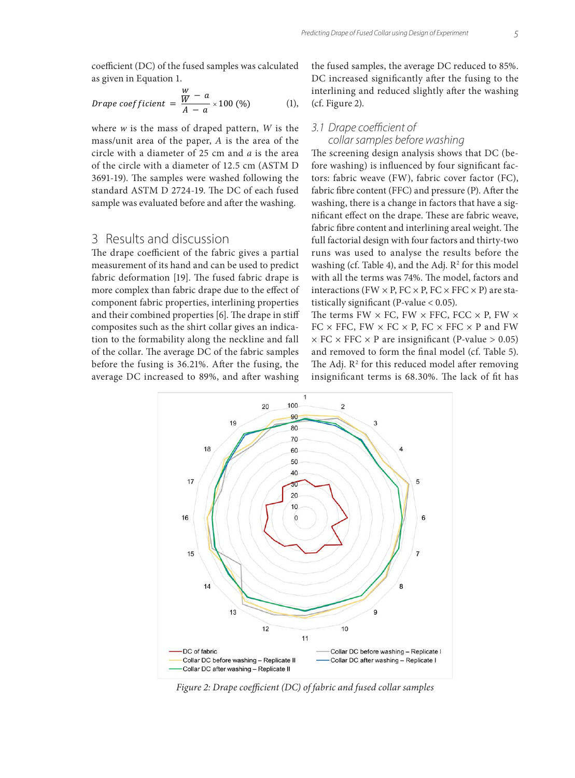coefficient (DC) of the fused samples was calculated as given in Equation 1.

*Drape coefficient* = 
$$
\frac{\frac{W}{W} - a}{A - a} \times 100 \, (\%)
$$
 (1),

where *w* is the mass of draped pattern, *W* is the mass/unit area of the paper, *A* is the area of the circle with a diameter of 25 cm and *a* is the area of the circle with a diameter of 12.5 cm (ASTM D 3691-19). The samples were washed following the standard ASTM D 2724-19. The DC of each fused sample was evaluated before and after the washing.

# 3 Results and discussion

The drape coefficient of the fabric gives a partial measurement of its hand and can be used to predict fabric deformation [19]. The fused fabric drape is more complex than fabric drape due to the effect of component fabric properties, interlining properties and their combined properties [6]. The drape in stiff composites such as the shirt collar gives an indication to the formability along the neckline and fall of the collar. The average DC of the fabric samples before the fusing is 36.21%. After the fusing, the average DC increased to 89%, and after washing

the fused samples, the average DC reduced to 85%. DC increased significantly after the fusing to the interlining and reduced slightly after the washing (cf. Figure 2).

#### *3.1 Drape coefficient of*

#### *collar samples before washing*

The screening design analysis shows that DC (before washing) is influenced by four significant factors: fabric weave (FW), fabric cover factor (FC), fabric fibre content (FFC) and pressure (P). After the washing, there is a change in factors that have a significant effect on the drape. These are fabric weave, fabric fibre content and interlining areal weight. The full factorial design with four factors and thirty-two runs was used to analyse the results before the washing (cf. Table 4), and the Adj.  $R^2$  for this model with all the terms was 74%. The model, factors and interactions (FW  $\times$  P, FC  $\times$  P, FC  $\times$  FFC  $\times$  P) are statistically significant (P-value < 0.05).

The terms FW  $\times$  FC, FW  $\times$  FFC, FCC  $\times$  P, FW  $\times$ FC  $\times$  FFC, FW  $\times$  FC  $\times$  P, FC  $\times$  FFC  $\times$  P and FW  $\times$  FC  $\times$  FFC  $\times$  P are insignificant (P-value  $> 0.05$ ) and removed to form the final model (cf. Table 5). The Adj.  $\mathbb{R}^2$  for this reduced model after removing insignificant terms is 68.30%. The lack of fit has



*Figure 2: Drape coefficient (DC) of fabric and fused collar samples*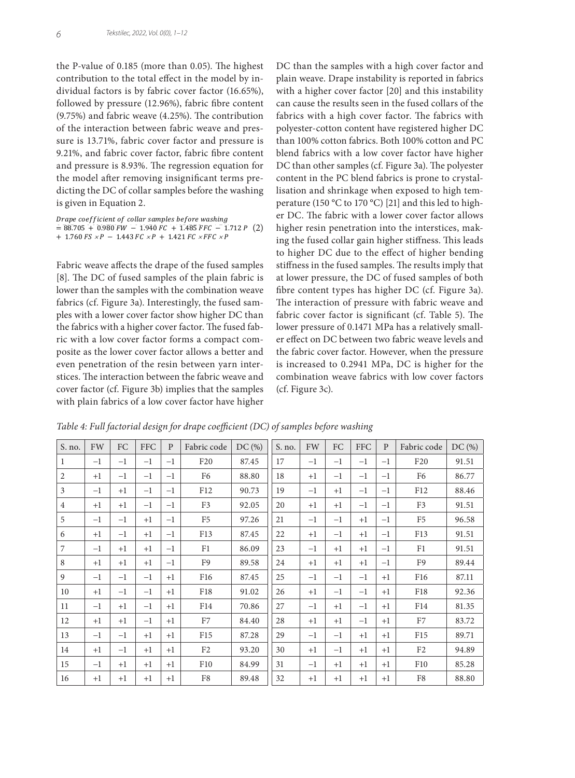the P-value of 0.185 (more than 0.05). The highest contribution to the total effect in the model by individual factors is by fabric cover factor (16.65%), followed by pressure (12.96%), fabric fibre content (9.75%) and fabric weave (4.25%). The contribution of the interaction between fabric weave and pressure is 13.71%, fabric cover factor and pressure is 9.21%, and fabric cover factor, fabric fibre content and pressure is 8.93%. The regression equation for the model after removing insignificant terms predicting the DC of collar samples before the washing is given in Equation 2.

Drape coefficient of collar samples before washing  $= 88.705 + 0.980 \, \text{FW} - 1.940 \, \text{FC} + 1.485 \, \text{FFC} - 1.712 \, \text{P}$  (2)  $+ 1.760$  FS  $\times P - 1.443$  FC  $\times P + 1.421$  FC  $\times$  FFC  $\times P$ 

Fabric weave affects the drape of the fused samples [8]. The DC of fused samples of the plain fabric is lower than the samples with the combination weave fabrics (cf. Figure 3a). Interestingly, the fused samples with a lower cover factor show higher DC than the fabrics with a higher cover factor. The fused fabric with a low cover factor forms a compact composite as the lower cover factor allows a better and even penetration of the resin between yarn interstices. The interaction between the fabric weave and cover factor (cf. Figure 3b) implies that the samples with plain fabrics of a low cover factor have higher DC than the samples with a high cover factor and plain weave. Drape instability is reported in fabrics with a higher cover factor [20] and this instability can cause the results seen in the fused collars of the fabrics with a high cover factor. The fabrics with polyester-cotton content have registered higher DC than 100% cotton fabrics. Both 100% cotton and PC blend fabrics with a low cover factor have higher DC than other samples (cf. Figure 3a). The polyester content in the PC blend fabrics is prone to crystallisation and shrinkage when exposed to high temperature (150 °C to 170 °C) [21] and this led to higher DC. The fabric with a lower cover factor allows higher resin penetration into the interstices, making the fused collar gain higher stiffness. This leads to higher DC due to the effect of higher bending stiffness in the fused samples. The results imply that at lower pressure, the DC of fused samples of both fibre content types has higher DC (cf. Figure 3a). The interaction of pressure with fabric weave and fabric cover factor is significant (cf. Table 5). The lower pressure of 0.1471 MPa has a relatively smaller effect on DC between two fabric weave levels and the fabric cover factor. However, when the pressure is increased to 0.2941 MPa, DC is higher for the combination weave fabrics with low cover factors (cf. Figure 3c).

*Table 4: Full factorial design for drape coefficient (DC) of samples before washing*

| S. no.         | FW   | FC   | <b>FFC</b> | P    | Fabric code     | DC(%) | S. no. | FW   | <b>FC</b> | <b>FFC</b> | P    | Fabric code     | DC(%) |
|----------------|------|------|------------|------|-----------------|-------|--------|------|-----------|------------|------|-----------------|-------|
| 1              | $-1$ | $-1$ | $-1$       | $-1$ | F20             | 87.45 | 17     | $-1$ | $-1$      | $-1$       | $-1$ | F20             | 91.51 |
| $\overline{2}$ | $+1$ | $-1$ | $-1$       | $-1$ | F6              | 88.80 | 18     | $+1$ | $-1$      | $-1$       | $-1$ | F <sub>6</sub>  | 86.77 |
| 3              | $-1$ | $+1$ | $-1$       | $-1$ | F <sub>12</sub> | 90.73 | 19     | $-1$ | $+1$      | $-1$       | $-1$ | F12             | 88.46 |
| $\overline{4}$ | $+1$ | $+1$ | $-1$       | $-1$ | F <sub>3</sub>  | 92.05 | 20     | $+1$ | $+1$      | $-1$       | $-1$ | F <sub>3</sub>  | 91.51 |
| 5              | $-1$ | $-1$ | $+1$       | $-1$ | F <sub>5</sub>  | 97.26 | 21     | $-1$ | $-1$      | $+1$       | $-1$ | F <sub>5</sub>  | 96.58 |
| 6              | $+1$ | $-1$ | $+1$       | $-1$ | F13             | 87.45 | 22     | $+1$ | $-1$      | $+1$       | $-1$ | F13             | 91.51 |
| 7              | $-1$ | $+1$ | $+1$       | $-1$ | F1              | 86.09 | 23     | $-1$ | $+1$      | $+1$       | $-1$ | F1              | 91.51 |
| 8              | $+1$ | $+1$ | $+1$       | $-1$ | F9              | 89.58 | 24     | $+1$ | $+1$      | $+1$       | $-1$ | F <sub>9</sub>  | 89.44 |
| 9              | $-1$ | $-1$ | $-1$       | $+1$ | F <sub>16</sub> | 87.45 | 25     | $-1$ | $-1$      | $-1$       | $+1$ | F <sub>16</sub> | 87.11 |
| 10             | $+1$ | $-1$ | $-1$       | $+1$ | F18             | 91.02 | 26     | $+1$ | $-1$      | $-1$       | $+1$ | F18             | 92.36 |
| 11             | $-1$ | $+1$ | $-1$       | $+1$ | F <sub>14</sub> | 70.86 | 27     | $-1$ | $+1$      | $-1$       | $+1$ | F14             | 81.35 |
| 12             | $+1$ | $+1$ | $-1$       | $+1$ | F7              | 84.40 | 28     | $+1$ | $+1$      | $-1$       | $+1$ | F7              | 83.72 |
| 13             | $-1$ | $-1$ | $+1$       | $+1$ | F <sub>15</sub> | 87.28 | 29     | $-1$ | $-1$      | $+1$       | $+1$ | F <sub>15</sub> | 89.71 |
| 14             | $+1$ | $-1$ | $+1$       | $+1$ | F <sub>2</sub>  | 93.20 | 30     | $+1$ | $-1$      | $+1$       | $+1$ | F <sub>2</sub>  | 94.89 |
| 15             | $-1$ | $+1$ | $+1$       | $+1$ | F <sub>10</sub> | 84.99 | 31     | $-1$ | $+1$      | $+1$       | $+1$ | F <sub>10</sub> | 85.28 |
| 16             | $+1$ | $+1$ | $+1$       | $+1$ | F8              | 89.48 | 32     | $+1$ | $+1$      | $+1$       | $+1$ | F8              | 88.80 |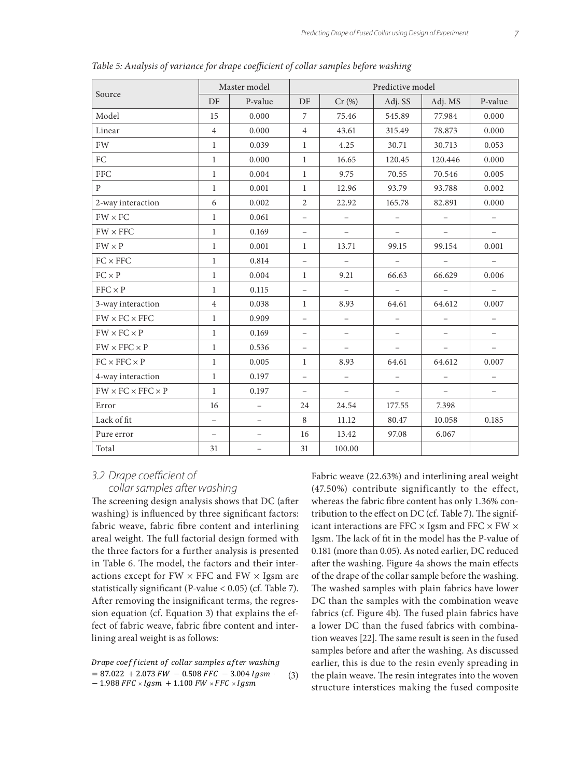|                                    |                   | Master model             | Predictive model         |                          |                          |                          |                          |  |  |
|------------------------------------|-------------------|--------------------------|--------------------------|--------------------------|--------------------------|--------------------------|--------------------------|--|--|
| Source                             | DF                | P-value                  | DF                       | Cr(%)                    | Adj. SS                  | Adj. MS                  | P-value                  |  |  |
| Model                              | 15                | 0.000                    | $\overline{7}$           | 75.46                    | 545.89                   | 77.984                   | 0.000                    |  |  |
| Linear                             | $\overline{4}$    | 0.000                    | $\overline{4}$           | 43.61                    | 315.49                   | 78.873                   | 0.000                    |  |  |
| FW                                 | $\mathbf{1}$      | 0.039                    | $\mathbf{1}$             | 4.25                     | 30.71                    | 30.713                   | 0.053                    |  |  |
| ${\rm FC}$                         | $\mathbf{1}$      | 0.000                    | $\mathbf{1}$             | 16.65                    | 120.45                   | 120.446                  | 0.000                    |  |  |
| <b>FFC</b>                         | $\mathbf{1}$      | 0.004                    | $\mathbf{1}$             | 9.75                     | 70.55                    | 70.546                   | 0.005                    |  |  |
| $\mathbf{P}$                       | $\mathbf{1}$      | 0.001                    | $\mathbf{1}$             | 12.96                    | 93.79                    | 93.788                   | 0.002                    |  |  |
| 2-way interaction                  | 6                 | 0.002                    | 2                        | 22.92                    | 165.78                   | 82.891                   | 0.000                    |  |  |
| $FW \times FC$                     | $\mathbf{1}$      | 0.061                    | $\overline{\phantom{a}}$ | $\overline{\phantom{m}}$ | $\qquad \qquad -$        | $\qquad \qquad -$        | $\overline{\phantom{a}}$ |  |  |
| $FW \times FFC$                    | $\mathbf{1}$      | 0.169                    | $\qquad \qquad -$        | $\equiv$                 |                          |                          |                          |  |  |
| $FW \times P$                      | $\mathbf{1}$      | 0.001                    | $\mathbf{1}$             | 13.71                    | 99.15                    | 99.154                   | 0.001                    |  |  |
| $FC \times FFC$                    | $\mathbf{1}$      | 0.814                    | $\qquad \qquad -$        | $\equiv$                 | $\equiv$                 |                          | $\equiv$                 |  |  |
| $FC \times P$                      | $\mathbf{1}$      | 0.004                    | $\mathbf{1}$             | 9.21                     | 66.63                    | 66.629                   | 0.006                    |  |  |
| $FFC \times P$                     | $\mathbf{1}$      | 0.115                    | $\overline{\phantom{a}}$ | $\equiv$                 | $\overline{\phantom{a}}$ | $\qquad \qquad -$        | $\overline{\phantom{m}}$ |  |  |
| 3-way interaction                  | $\overline{4}$    | 0.038                    | 1                        | 8.93                     | 64.61                    | 64.612                   | 0.007                    |  |  |
| $FW \times FC \times FFC$          | $\mathbf{1}$      | 0.909                    | $\overline{\phantom{m}}$ | $\overline{\phantom{m}}$ | $\equiv$                 | $\overline{\phantom{0}}$ | $\equiv$                 |  |  |
| $FW \times FC \times P$            | $\mathbf{1}$      | 0.169                    | $\overline{\phantom{0}}$ | $\equiv$                 |                          |                          | $\overline{\phantom{a}}$ |  |  |
| $FW \times FFC \times P$           | $\mathbf{1}$      | 0.536                    | $\qquad \qquad -$        |                          |                          |                          |                          |  |  |
| $FC \times FFC \times P$           | $\mathbf{1}$      | 0.005                    | $\mathbf{1}$             | 8.93                     | 64.61                    | 64.612                   | 0.007                    |  |  |
| 4-way interaction                  | 1                 | 0.197                    | $\overline{\phantom{a}}$ | $\equiv$                 | $\overline{\phantom{m}}$ | $\overline{\phantom{0}}$ | $\overline{\phantom{m}}$ |  |  |
| $FW \times FC \times FFC \times P$ | $\mathbf{1}$      | 0.197                    | $\overline{\phantom{a}}$ | $\equiv$                 | $\qquad \qquad -$        | $\equiv$                 | $\overline{\phantom{m}}$ |  |  |
| Error                              | 16                | $\overline{\phantom{m}}$ | 24                       | 24.54                    | 177.55                   | 7.398                    |                          |  |  |
| Lack of fit                        | $\qquad \qquad -$ | $\overline{\phantom{m}}$ | 8                        | 11.12                    | 80.47                    | 10.058                   | 0.185                    |  |  |
| Pure error                         | $\qquad \qquad -$ |                          | 16                       | 13.42                    | 97.08                    | 6.067                    |                          |  |  |
| Total                              | 31                |                          | 31                       | 100.00                   |                          |                          |                          |  |  |

*Table 5: Analysis of variance for drape coefficient of collar samples before washing*

#### *3.2 Drape coefficient of collar samples after washing*

The screening design analysis shows that DC (after washing) is influenced by three significant factors: fabric weave, fabric fibre content and interlining areal weight. The full factorial design formed with the three factors for a further analysis is presented in Table 6. The model, the factors and their interactions except for  $FW \times FFC$  and  $FW \times Igsm$  are statistically significant (P-value < 0.05) (cf. Table 7). After removing the insignificant terms, the regression equation (cf. Equation 3) that explains the effect of fabric weave, fabric fibre content and interlining areal weight is as follows:

Drape coefficient of collar samples after washing the earlier, this is  $= 87.022 + 2.073$  *FW*  $- 0.508$  *FFC*  $- 3.004$  *lgsm* (3) the p  $-$  1.988 FFC  $\times Igsm \, +$  1.100 FW  $\times$  FFC  $\times I$  $= 87.0$ (3)

 $W = 0.508$  FFC  $-3.004$  Igsm (3) the plain weave. The resin integrates into the woven Fabric weave (22.63%) and interlining areal weight (47.50%) contribute significantly to the effect, whereas the fabric fibre content has only 1.36% contribution to the effect on DC (cf. Table 7). The significant interactions are FFC  $\times$  Igsm and FFC  $\times$  FW  $\times$ Igsm. The lack of fit in the model has the P-value of 0.181 (more than 0.05). As noted earlier, DC reduced after the washing. Figure 4a shows the main effects of the drape of the collar sample before the washing. The washed samples with plain fabrics have lower DC than the samples with the combination weave fabrics (cf. Figure 4b). The fused plain fabrics have a lower DC than the fused fabrics with combination weaves [22]. The same result is seen in the fused samples before and after the washing. As discussed earlier, this is due to the resin evenly spreading in structure interstices making the fused composite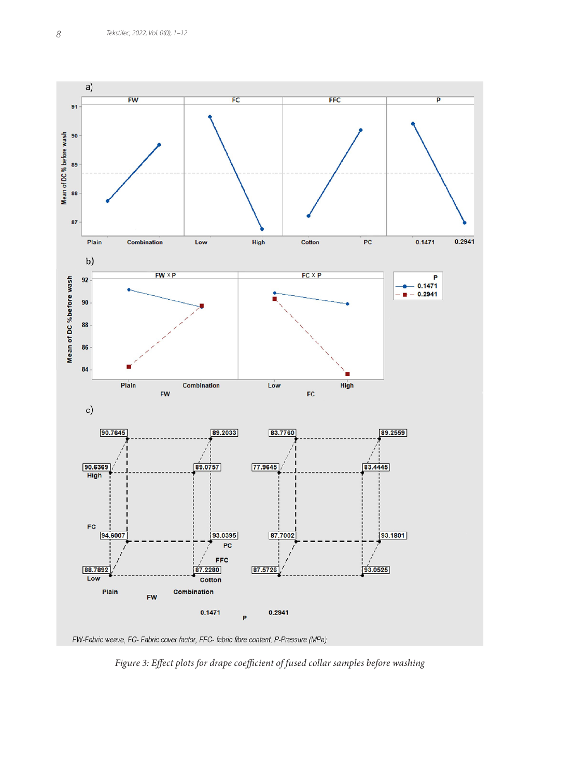

FW-Fabric weave, FC- Fabric cover factor, FFC- fabric fibre content, P-Pressure (MPa)

*Figure 3: Effect plots for drape coefficient of fused collar samples before washing*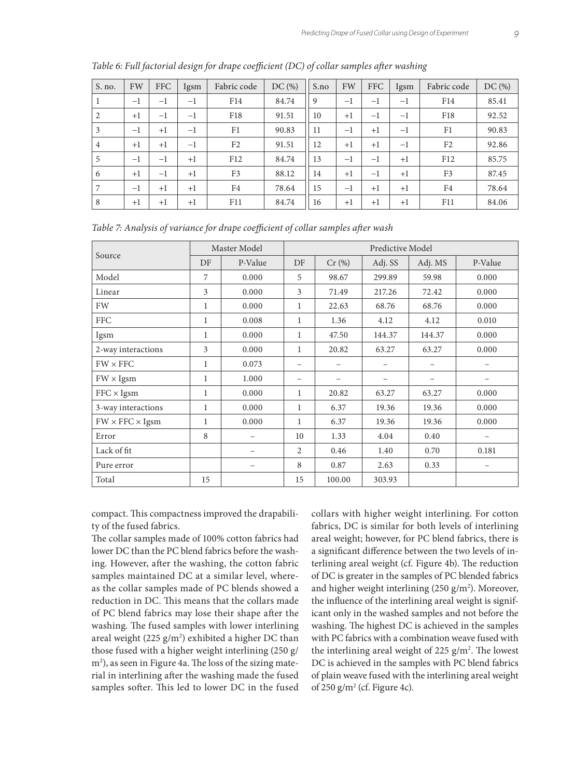| S. no.         | FW   | <b>FFC</b>    | Igsm | Fabric code     | DC(%) | S.no | FW   | <b>FFC</b> | Igsm | Fabric code     | DC(%) |
|----------------|------|---------------|------|-----------------|-------|------|------|------------|------|-----------------|-------|
|                | $-1$ | $-1$          | $-1$ | F <sub>14</sub> | 84.74 | 9    | $-1$ | $^{-1}$    | $-1$ | F <sub>14</sub> | 85.41 |
| 2              | $+1$ | $-1$          | $-1$ | F <sub>18</sub> | 91.51 | 10   | $+1$ | $-1$       | $-1$ | F <sub>18</sub> | 92.52 |
| 3              | $-1$ | $+1$          | $-1$ | F1              | 90.83 | 11   | $-1$ | $+1$       | $-1$ | F <sub>1</sub>  | 90.83 |
| $\overline{4}$ | $+1$ | $+1$          | $-1$ | F <sub>2</sub>  | 91.51 | 12   | $+1$ | $+1$       | $-1$ | F <sub>2</sub>  | 92.86 |
| 5              | $-1$ | $-1$          | $+1$ | F12             | 84.74 | 13   | $-1$ | $-1$       | $+1$ | F12             | 85.75 |
| 6              | $+1$ | $-\mathbf{I}$ | $+1$ | F <sub>3</sub>  | 88.12 | 14   | $+1$ | $-1$       | $+1$ | F <sub>3</sub>  | 87.45 |
| 7              | $-1$ | $+1$          | $+1$ | F4              | 78.64 | 15   | $-1$ | $+1$       | $+1$ | F <sub>4</sub>  | 78.64 |
| 8              | $+1$ | $+1$          | $+1$ | F11             | 84.74 | 16   | $+1$ | $+1$       | $+1$ | F11             | 84.06 |

*Table 6: Full factorial design for drape coefficient (DC) of collar samples after washing*

|                             |              | Master Model |                   | Predictive Model |         |         |         |  |  |  |  |
|-----------------------------|--------------|--------------|-------------------|------------------|---------|---------|---------|--|--|--|--|
| Source                      | DF           | P-Value      | DF                | Cr(%)            | Adj. SS | Adj. MS | P-Value |  |  |  |  |
| Model                       | 7            | 0.000        | 5                 | 98.67            | 299.89  | 59.98   | 0.000   |  |  |  |  |
| Linear                      | 3            | 0.000        | 3                 | 71.49            | 217.26  | 72.42   | 0.000   |  |  |  |  |
| <b>FW</b>                   | $\mathbf{1}$ | 0.000        | 1                 | 22.63            | 68.76   | 68.76   | 0.000   |  |  |  |  |
| <b>FFC</b>                  | $\mathbf{1}$ | 0.008        | 1                 | 1.36             | 4.12    | 4.12    | 0.010   |  |  |  |  |
| Igsm                        | 1            | 0.000        | 1                 | 47.50            | 144.37  | 144.37  | 0.000   |  |  |  |  |
| 2-way interactions          | 3            | 0.000        | 1                 | 20.82            | 63.27   | 63.27   | 0.000   |  |  |  |  |
| $FW \times FFC$             | $\mathbf{1}$ | 0.073        | $\qquad \qquad -$ |                  |         |         |         |  |  |  |  |
| $FW \times Igsm$            | $\mathbf{1}$ | 1.000        | $\qquad \qquad -$ |                  |         |         |         |  |  |  |  |
| $FFC \times Igsm$           | 1            | 0.000        | $\mathbf{1}$      | 20.82            | 63.27   | 63.27   | 0.000   |  |  |  |  |
| 3-way interactions          | $\mathbf{1}$ | 0.000        | 1                 | 6.37             | 19.36   | 19.36   | 0.000   |  |  |  |  |
| $FW \times FFC \times Igsm$ | $\mathbf{1}$ | 0.000        | 1                 | 6.37             | 19.36   | 19.36   | 0.000   |  |  |  |  |
| Error                       | 8            |              | 10                | 1.33             | 4.04    | 0.40    |         |  |  |  |  |
| Lack of fit                 |              |              | 2                 | 0.46             | 1.40    | 0.70    | 0.181   |  |  |  |  |
| Pure error                  |              |              | 8                 | 0.87             | 2.63    | 0.33    |         |  |  |  |  |
| Total                       | 15           |              | 15                | 100.00           | 303.93  |         |         |  |  |  |  |

compact. This compactness improved the drapability of the fused fabrics.

The collar samples made of 100% cotton fabrics had lower DC than the PC blend fabrics before the washing. However, after the washing, the cotton fabric samples maintained DC at a similar level, whereas the collar samples made of PC blends showed a reduction in DC. This means that the collars made of PC blend fabrics may lose their shape after the washing. The fused samples with lower interlining areal weight (225  $g/m^2$ ) exhibited a higher DC than those fused with a higher weight interlining (250 g/ m2 ), as seen in Figure 4a. The loss of the sizing material in interlining after the washing made the fused samples softer. This led to lower DC in the fused

collars with higher weight interlining. For cotton fabrics, DC is similar for both levels of interlining areal weight; however, for PC blend fabrics, there is a significant difference between the two levels of interlining areal weight (cf. Figure 4b). The reduction of DC is greater in the samples of PC blended fabrics and higher weight interlining (250 g/m<sup>2</sup>). Moreover, the influence of the interlining areal weight is significant only in the washed samples and not before the washing. The highest DC is achieved in the samples with PC fabrics with a combination weave fused with the interlining areal weight of 225  $g/m<sup>2</sup>$ . The lowest DC is achieved in the samples with PC blend fabrics of plain weave fused with the interlining areal weight of 250  $g/m^2$  (cf. Figure 4c).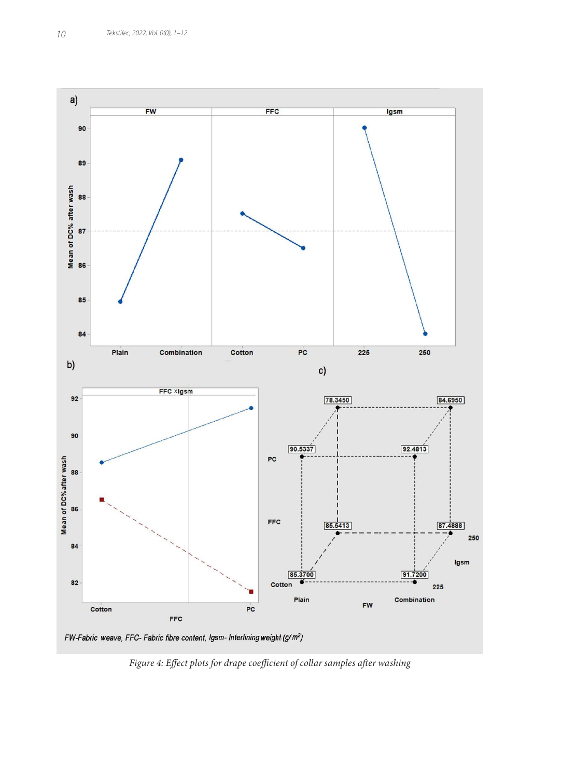

*Figure 4: Effect plots for drape coefficient of collar samples after washing*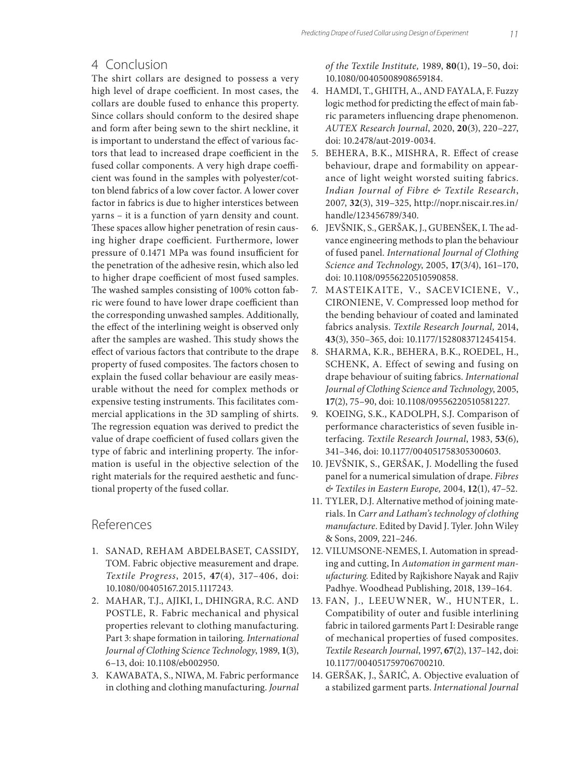# 4 Conclusion

The shirt collars are designed to possess a very high level of drape coefficient. In most cases, the collars are double fused to enhance this property. Since collars should conform to the desired shape and form after being sewn to the shirt neckline, it is important to understand the effect of various factors that lead to increased drape coefficient in the fused collar components. A very high drape coefficient was found in the samples with polyester/cotton blend fabrics of a low cover factor. A lower cover factor in fabrics is due to higher interstices between yarns – it is a function of yarn density and count. These spaces allow higher penetration of resin causing higher drape coefficient. Furthermore, lower pressure of 0.1471 MPa was found insufficient for the penetration of the adhesive resin, which also led to higher drape coefficient of most fused samples. The washed samples consisting of 100% cotton fabric were found to have lower drape coefficient than the corresponding unwashed samples. Additionally, the effect of the interlining weight is observed only after the samples are washed. This study shows the effect of various factors that contribute to the drape property of fused composites. The factors chosen to explain the fused collar behaviour are easily measurable without the need for complex methods or expensive testing instruments. This facilitates commercial applications in the 3D sampling of shirts. The regression equation was derived to predict the value of drape coefficient of fused collars given the type of fabric and interlining property. The information is useful in the objective selection of the right materials for the required aesthetic and functional property of the fused collar.

# References

- 1. SANAD, REHAM ABDELBASET, CASSIDY, TOM. Fabric objective measurement and drape. *Textile Progress*, 2015, **47**(4), 317–406, doi: 10.1080/00405167.2015.1117243.
- 2. MAHAR, T.J., AJIKI, I., DHINGRA, R.C. AND POSTLE, R. Fabric mechanical and physical properties relevant to clothing manufacturing. Part 3: shape formation in tailoring. *International Journal of Clothing Science Technology*, 1989, **1**(3), 6–13, doi: 10.1108/eb002950.
- 3. KAWABATA, S., NIWA, M. Fabric performance in clothing and clothing manufacturing. *Journal*

*of the Textile Institute,* 1989, **80**(1), 19–50, doi: 10.1080/00405008908659184.

- 4. HAMDI, T., GHITH, A., AND FAYALA, F. Fuzzy logic method for predicting the effect of main fabric parameters influencing drape phenomenon. *AUTEX Research Journal*, 2020, **20**(3), 220–227, doi: 10.2478/aut-2019-0034.
- 5. BEHERA, B.K., MISHRA, R. Effect of crease behaviour, drape and formability on appearance of light weight worsted suiting fabrics. *Indian Journal of Fibre & Textile Research*, 2007, **32**(3), 319–325, http://nopr.niscair.res.in/ handle/123456789/340.
- 6. JEVŠNIK, S., GERŠAK, J., GUBENŠEK, I. The advance engineering methods to plan the behaviour of fused panel. *International Journal of Clothing Science and Technology*, 2005, **17**(3/4), 161–170, doi: 10.1108/09556220510590858.
- 7. MASTEIKAITE, V., SACEVICIENE, V., CIRONIENE, V. Compressed loop method for the bending behaviour of coated and laminated fabrics analysis. *Textile Research Journal,* 2014, **43**(3), 350–365, doi: 10.1177/1528083712454154.
- 8. SHARMA, K.R., BEHERA, B.K., ROEDEL, H., SCHENK, A. Effect of sewing and fusing on drape behaviour of suiting fabrics. *International Journal of Clothing Science and Technology*, 2005, **17**(2), 75–90, doi: 10.1108/09556220510581227.
- 9. KOEING, S.K., KADOLPH, S.J. Comparison of performance characteristics of seven fusible interfacing. *Textile Research Journal*, 1983, **53**(6), 341–346, doi: 10.1177/004051758305300603.
- 10. JEVŠNIK, S., GERŠAK, J. Modelling the fused panel for a numerical simulation of drape. *Fibres & Textiles in Eastern Europe,* 2004, **12**(1), 47–52.
- 11. TYLER, D.J. Alternative method of joining materials. In *Carr and Latham's technology of clothing manufacture*. Edited by David J. Tyler. John Wiley & Sons, 2009, 221–246.
- 12. VILUMSONE-NEMES, I. Automation in spreading and cutting, In *Automation in garment manufacturing.* Edited by Rajkishore Nayak and Rajiv Padhye. Woodhead Publishing, 2018, 139–164.
- 13. FAN, J., LEEUWNER, W., HUNTER, L. Compatibility of outer and fusible interlining fabric in tailored garments Part I: Desirable range of mechanical properties of fused composites. *Textile Research Journal*, 1997, **67**(2), 137–142, doi: 10.1177/004051759706700210.
- 14. GERŠAK, J., ŠARIĆ, A. Objective evaluation of a stabilized garment parts. *International Journal*